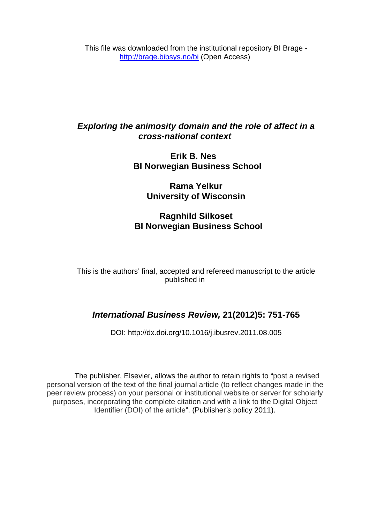This file was downloaded from the institutional repository BI Brage <http://brage.bibsys.no/bi> (Open Access)

## *Exploring the animosity domain and the role of affect in a cross-national context*

 **Erik B. Nes BI Norwegian Business School**

> **Rama Yelkur University of Wisconsin**

## **Ragnhild Silkoset BI Norwegian Business School**

This is the authors' final, accepted and refereed manuscript to the article published in

## *International Business Review,* **21(2012)5: 751-765**

DOI: http://dx.doi.org[/10.1016/j.ibusrev.2011.08.005](http://dx.doi.org/10.1016/j.ibusrev.2011.08.005)

The publisher, Elsevier, allows the author to retain rights to "post a revised personal version of the text of the final journal article (to reflect changes made in the peer review process) on your personal or institutional website or server for scholarly purposes, incorporating the complete citation and with a link to the Digital Object Identifier (DOI) of the article". (Publisher*'s* policy 2011).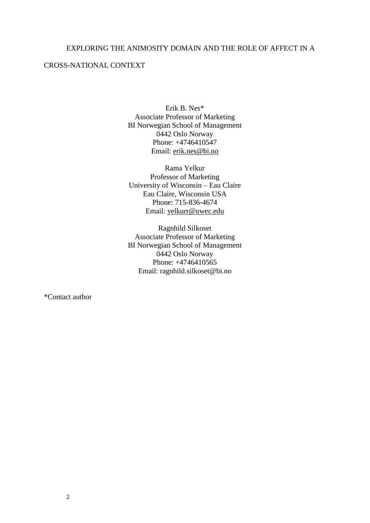## EXPLORING THE ANIMOSITY DOMAIN AND THE ROLE OF AFFECT IN A

## CROSS-NATIONAL CONTEXT

Erik B. Nes\* Associate Professor of Marketing BI Norwegian School of Management 0442 Oslo Norway Phone: +4746410547 Email: [erik.nes@bi.no](mailto:erik.nes@bi.no)

Rama Yelkur Professor of Marketing University of Wisconsin – Eau Claire Eau Claire, Wisconsin USA Phone: 715-836-4674 Email: [yelkurr@uwec.edu](mailto:yelkurr@uwec.edu)

Ragnhild Silkoset Associate Professor of Marketing BI Norwegian School of Management 0442 Oslo Norway Phone: +4746410565 Email: ragnhild.silkoset@bi.no

\*Contact author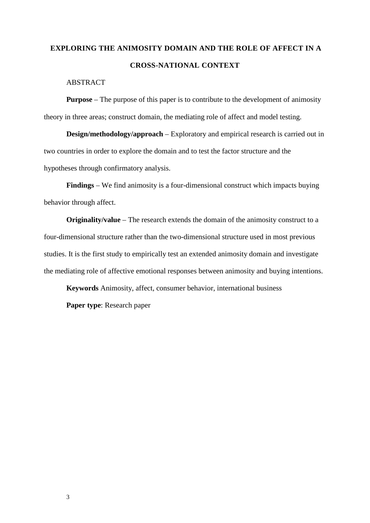# **EXPLORING THE ANIMOSITY DOMAIN AND THE ROLE OF AFFECT IN A CROSS-NATIONAL CONTEXT**

## ABSTRACT

**Purpose** – The purpose of this paper is to contribute to the development of animosity theory in three areas; construct domain, the mediating role of affect and model testing.

**Design/methodology/approach** – Exploratory and empirical research is carried out in two countries in order to explore the domain and to test the factor structure and the hypotheses through confirmatory analysis.

**Findings** – We find animosity is a four-dimensional construct which impacts buying behavior through affect.

**Originality/value** – The research extends the domain of the animosity construct to a four-dimensional structure rather than the two-dimensional structure used in most previous studies. It is the first study to empirically test an extended animosity domain and investigate the mediating role of affective emotional responses between animosity and buying intentions.

**Keywords** Animosity, affect, consumer behavior, international business

**Paper type**: Research paper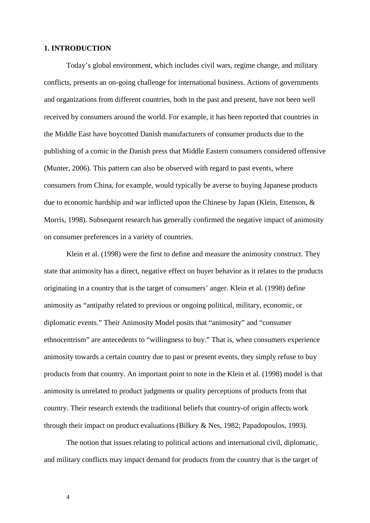## **1. INTRODUCTION**

Today's global environment, which includes civil wars, regime change, and military conflicts, presents an on-going challenge for international business. Actions of governments and organizations from different countries, both in the past and present, have not been well received by consumers around the world. For example, it has been reported that countries in the Middle East have boycotted Danish manufacturers of consumer products due to the publishing of a comic in the Danish press that Middle Eastern consumers considered offensive (Munter, 2006). This pattern can also be observed with regard to past events, where consumers from China, for example, would typically be averse to buying Japanese products due to economic hardship and war inflicted upon the Chinese by Japan (Klein, Ettenson, & Morris, 1998). Subsequent research has generally confirmed the negative impact of animosity on consumer preferences in a variety of countries.

Klein et al. (1998) were the first to define and measure the animosity construct. They state that animosity has a direct, negative effect on buyer behavior as it relates to the products originating in a country that is the target of consumers' anger. Klein et al. (1998) define animosity as "antipathy related to previous or ongoing political, military, economic, or diplomatic events." Their Animosity Model posits that "animosity" and "consumer ethnocentrism" are antecedents to "willingness to buy." That is, when consumers experience animosity towards a certain country due to past or present events, they simply refuse to buy products from that country. An important point to note in the Klein et al. (1998) model is that animosity is unrelated to product judgments or quality perceptions of products from that country. Their research extends the traditional beliefs that country-of origin affects work through their impact on product evaluations (Bilkey & Nes, 1982; Papadopoulos, 1993).

The notion that issues relating to political actions and international civil, diplomatic, and military conflicts may impact demand for products from the country that is the target of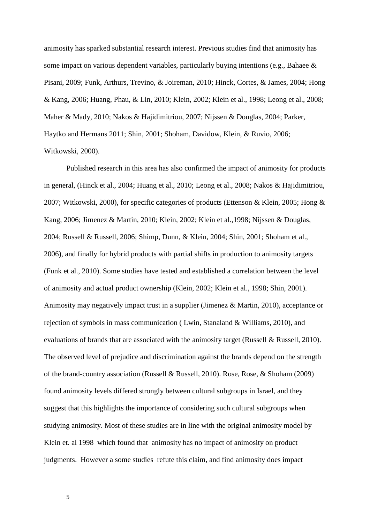animosity has sparked substantial research interest. Previous studies find that animosity has some impact on various dependent variables, particularly buying intentions (e.g., Bahaee & Pisani, 2009; Funk, Arthurs, Trevino, & Joireman, 2010; Hinck, Cortes, & James, 2004; Hong & Kang, 2006; Huang, Phau, & Lin, 2010; Klein, 2002; Klein et al., 1998; Leong et al., 2008; Maher & Mady, 2010; Nakos & Hajidimitriou, 2007; Nijssen & Douglas, 2004; Parker, Haytko and Hermans 2011; Shin, 2001; Shoham, Davidow, Klein, & Ruvio, 2006; Witkowski, 2000).

Published research in this area has also confirmed the impact of animosity for products in general, (Hinck et al., 2004; Huang et al., 2010; Leong et al., 2008; Nakos & Hajidimitriou, 2007; Witkowski, 2000), for specific categories of products (Ettenson & Klein, 2005; Hong & Kang, 2006; Jimenez & Martin, 2010; Klein, 2002; Klein et al.,1998; Nijssen & Douglas, 2004; Russell & Russell, 2006; Shimp, Dunn, & Klein, 2004; Shin, 2001; Shoham et al., 2006), and finally for hybrid products with partial shifts in production to animosity targets (Funk et al., 2010). Some studies have tested and established a correlation between the level of animosity and actual product ownership (Klein, 2002; Klein et al., 1998; Shin, 2001). Animosity may negatively impact trust in a supplier (Jimenez & Martin, 2010), acceptance or rejection of symbols in mass communication ( Lwin, Stanaland & Williams, 2010), and evaluations of brands that are associated with the animosity target (Russell & Russell, 2010). The observed level of prejudice and discrimination against the brands depend on the strength of the brand-country association (Russell & Russell, 2010). Rose, Rose, & Shoham (2009) found animosity levels differed strongly between cultural subgroups in Israel, and they suggest that this highlights the importance of considering such cultural subgroups when studying animosity. Most of these studies are in line with the original animosity model by Klein et. al 1998 which found that animosity has no impact of animosity on product judgments. However a some studies refute this claim, and find animosity does impact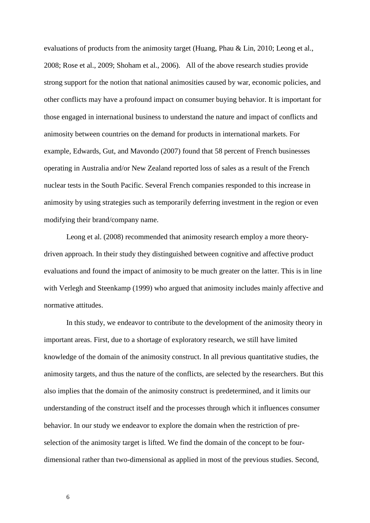evaluations of products from the animosity target (Huang, Phau & Lin, 2010; Leong et al., 2008; Rose et al., 2009; Shoham et al., 2006). All of the above research studies provide strong support for the notion that national animosities caused by war, economic policies, and other conflicts may have a profound impact on consumer buying behavior. It is important for those engaged in international business to understand the nature and impact of conflicts and animosity between countries on the demand for products in international markets. For example, Edwards, Gut, and Mavondo (2007) found that 58 percent of French businesses operating in Australia and/or New Zealand reported loss of sales as a result of the French nuclear tests in the South Pacific. Several French companies responded to this increase in animosity by using strategies such as temporarily deferring investment in the region or even modifying their brand/company name.

Leong et al. (2008) recommended that animosity research employ a more theorydriven approach. In their study they distinguished between cognitive and affective product evaluations and found the impact of animosity to be much greater on the latter. This is in line with Verlegh and Steenkamp (1999) who argued that animosity includes mainly affective and normative attitudes.

In this study, we endeavor to contribute to the development of the animosity theory in important areas. First, due to a shortage of exploratory research, we still have limited knowledge of the domain of the animosity construct. In all previous quantitative studies, the animosity targets, and thus the nature of the conflicts, are selected by the researchers. But this also implies that the domain of the animosity construct is predetermined, and it limits our understanding of the construct itself and the processes through which it influences consumer behavior. In our study we endeavor to explore the domain when the restriction of preselection of the animosity target is lifted. We find the domain of the concept to be fourdimensional rather than two-dimensional as applied in most of the previous studies. Second,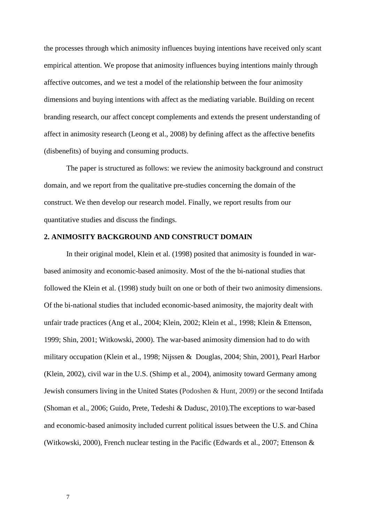the processes through which animosity influences buying intentions have received only scant empirical attention. We propose that animosity influences buying intentions mainly through affective outcomes, and we test a model of the relationship between the four animosity dimensions and buying intentions with affect as the mediating variable. Building on recent branding research, our affect concept complements and extends the present understanding of affect in animosity research (Leong et al., 2008) by defining affect as the affective benefits (disbenefits) of buying and consuming products.

The paper is structured as follows: we review the animosity background and construct domain, and we report from the qualitative pre-studies concerning the domain of the construct. We then develop our research model. Finally, we report results from our quantitative studies and discuss the findings.

## **2. ANIMOSITY BACKGROUND AND CONSTRUCT DOMAIN**

In their original model, Klein et al. (1998) posited that animosity is founded in warbased animosity and economic-based animosity. Most of the the bi-national studies that followed the Klein et al. (1998) study built on one or both of their two animosity dimensions. Of the bi-national studies that included economic-based animosity, the majority dealt with unfair trade practices (Ang et al., 2004; Klein, 2002; Klein et al., 1998; Klein & Ettenson, 1999; Shin, 2001; Witkowski, 2000). The war-based animosity dimension had to do with military occupation (Klein et al., 1998; Nijssen & Douglas, 2004; Shin, 2001), Pearl Harbor (Klein, 2002), civil war in the U.S. (Shimp et al., 2004), animosity toward Germany among Jewish consumers living in the United States (Podoshen & Hunt, 2009) or the second Intifada (Shoman et al., 2006; Guido, Prete, Tedeshi & Dadusc, 2010).The exceptions to war-based and economic-based animosity included current political issues between the U.S. and China (Witkowski, 2000), French nuclear testing in the Pacific (Edwards et al., 2007; Ettenson &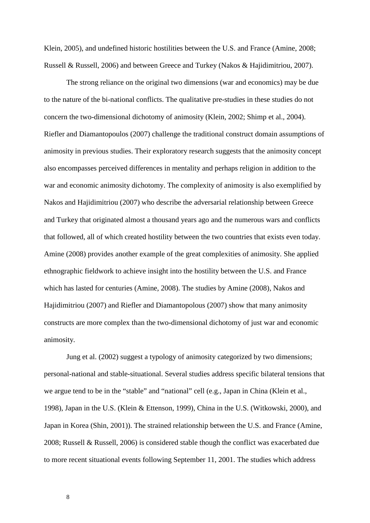Klein, 2005), and undefined historic hostilities between the U.S. and France (Amine, 2008; Russell & Russell, 2006) and between Greece and Turkey (Nakos & Hajidimitriou, 2007).

The strong reliance on the original two dimensions (war and economics) may be due to the nature of the bi-national conflicts. The qualitative pre-studies in these studies do not concern the two-dimensional dichotomy of animosity (Klein, 2002; Shimp et al., 2004). Riefler and Diamantopoulos (2007) challenge the traditional construct domain assumptions of animosity in previous studies. Their exploratory research suggests that the animosity concept also encompasses perceived differences in mentality and perhaps religion in addition to the war and economic animosity dichotomy. The complexity of animosity is also exemplified by Nakos and Hajidimitriou (2007) who describe the adversarial relationship between Greece and Turkey that originated almost a thousand years ago and the numerous wars and conflicts that followed, all of which created hostility between the two countries that exists even today. Amine (2008) provides another example of the great complexities of animosity. She applied ethnographic fieldwork to achieve insight into the hostility between the U.S. and France which has lasted for centuries (Amine, 2008). The studies by Amine (2008), Nakos and Hajidimitriou (2007) and Riefler and Diamantopolous (2007) show that many animosity constructs are more complex than the two-dimensional dichotomy of just war and economic animosity.

Jung et al. (2002) suggest a typology of animosity categorized by two dimensions; personal-national and stable-situational. Several studies address specific bilateral tensions that we argue tend to be in the "stable" and "national" cell (e.g., Japan in China (Klein et al., 1998), Japan in the U.S. (Klein & Ettenson, 1999), China in the U.S. (Witkowski, 2000), and Japan in Korea (Shin, 2001)). The strained relationship between the U.S. and France (Amine, 2008; Russell & Russell, 2006) is considered stable though the conflict was exacerbated due to more recent situational events following September 11, 2001. The studies which address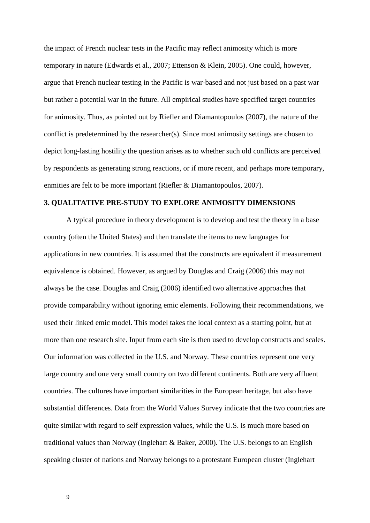the impact of French nuclear tests in the Pacific may reflect animosity which is more temporary in nature (Edwards et al., 2007; Ettenson & Klein, 2005). One could, however, argue that French nuclear testing in the Pacific is war-based and not just based on a past war but rather a potential war in the future. All empirical studies have specified target countries for animosity. Thus, as pointed out by Riefler and Diamantopoulos (2007), the nature of the conflict is predetermined by the researcher(s). Since most animosity settings are chosen to depict long-lasting hostility the question arises as to whether such old conflicts are perceived by respondents as generating strong reactions, or if more recent, and perhaps more temporary, enmities are felt to be more important (Riefler & Diamantopoulos, 2007).

## **3. QUALITATIVE PRE-STUDY TO EXPLORE ANIMOSITY DIMENSIONS**

A typical procedure in theory development is to develop and test the theory in a base country (often the United States) and then translate the items to new languages for applications in new countries. It is assumed that the constructs are equivalent if measurement equivalence is obtained. However, as argued by Douglas and Craig (2006) this may not always be the case. Douglas and Craig (2006) identified two alternative approaches that provide comparability without ignoring emic elements. Following their recommendations, we used their linked emic model. This model takes the local context as a starting point, but at more than one research site. Input from each site is then used to develop constructs and scales. Our information was collected in the U.S. and Norway. These countries represent one very large country and one very small country on two different continents. Both are very affluent countries. The cultures have important similarities in the European heritage, but also have substantial differences. Data from the World Values Survey indicate that the two countries are quite similar with regard to self expression values, while the U.S. is much more based on traditional values than Norway (Inglehart & Baker, 2000). The U.S. belongs to an English speaking cluster of nations and Norway belongs to a protestant European cluster (Inglehart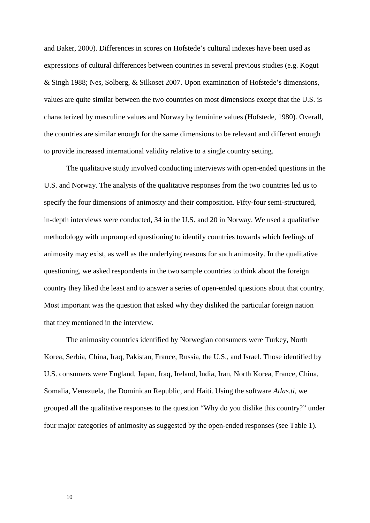and Baker, 2000). Differences in scores on Hofstede's cultural indexes have been used as expressions of cultural differences between countries in several previous studies (e.g. Kogut & Singh 1988; Nes, Solberg, & Silkoset 2007. Upon examination of Hofstede's dimensions, values are quite similar between the two countries on most dimensions except that the U.S. is characterized by masculine values and Norway by feminine values (Hofstede, 1980). Overall, the countries are similar enough for the same dimensions to be relevant and different enough to provide increased international validity relative to a single country setting.

The qualitative study involved conducting interviews with open-ended questions in the U.S. and Norway. The analysis of the qualitative responses from the two countries led us to specify the four dimensions of animosity and their composition. Fifty-four semi-structured, in-depth interviews were conducted, 34 in the U.S. and 20 in Norway. We used a qualitative methodology with unprompted questioning to identify countries towards which feelings of animosity may exist, as well as the underlying reasons for such animosity. In the qualitative questioning, we asked respondents in the two sample countries to think about the foreign country they liked the least and to answer a series of open-ended questions about that country. Most important was the question that asked why they disliked the particular foreign nation that they mentioned in the interview.

The animosity countries identified by Norwegian consumers were Turkey, North Korea, Serbia, China, Iraq, Pakistan, France, Russia, the U.S., and Israel. Those identified by U.S. consumers were England, Japan, Iraq, Ireland, India, Iran, North Korea, France, China, Somalia, Venezuela, the Dominican Republic, and Haiti. Using the software *Atlas.ti*, we grouped all the qualitative responses to the question "Why do you dislike this country?" under four major categories of animosity as suggested by the open-ended responses (see Table 1).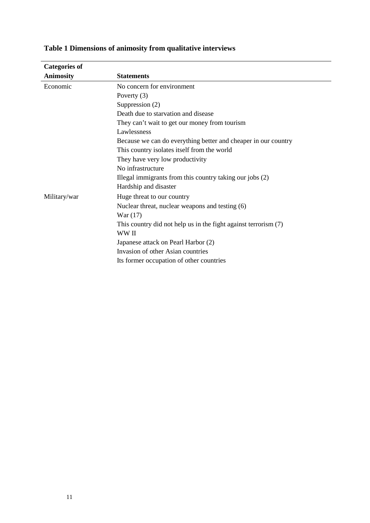| <b>Categories of</b> |                                                                   |  |  |  |  |  |  |
|----------------------|-------------------------------------------------------------------|--|--|--|--|--|--|
| <b>Animosity</b>     | <b>Statements</b>                                                 |  |  |  |  |  |  |
| Economic             | No concern for environment                                        |  |  |  |  |  |  |
|                      | Poverty $(3)$                                                     |  |  |  |  |  |  |
|                      | Suppression $(2)$                                                 |  |  |  |  |  |  |
|                      | Death due to starvation and disease                               |  |  |  |  |  |  |
|                      | They can't wait to get our money from tourism                     |  |  |  |  |  |  |
|                      | Lawlessness                                                       |  |  |  |  |  |  |
|                      | Because we can do everything better and cheaper in our country    |  |  |  |  |  |  |
|                      | This country isolates itself from the world                       |  |  |  |  |  |  |
|                      | They have very low productivity                                   |  |  |  |  |  |  |
|                      | No infrastructure                                                 |  |  |  |  |  |  |
|                      | Illegal immigrants from this country taking our jobs (2)          |  |  |  |  |  |  |
|                      | Hardship and disaster                                             |  |  |  |  |  |  |
| Military/war         | Huge threat to our country                                        |  |  |  |  |  |  |
|                      | Nuclear threat, nuclear weapons and testing (6)                   |  |  |  |  |  |  |
|                      | War $(17)$                                                        |  |  |  |  |  |  |
|                      | This country did not help us in the fight against terrorism $(7)$ |  |  |  |  |  |  |
|                      | WW II                                                             |  |  |  |  |  |  |
|                      | Japanese attack on Pearl Harbor (2)                               |  |  |  |  |  |  |
|                      | Invasion of other Asian countries                                 |  |  |  |  |  |  |
|                      | Its former occupation of other countries                          |  |  |  |  |  |  |

## **Table 1 Dimensions of animosity from qualitative interviews**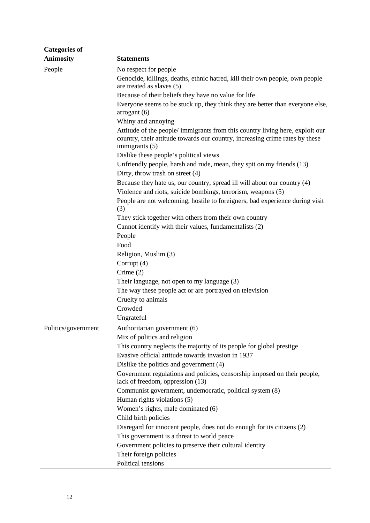| <b>Categories of</b> |                                                                                                                                                                                 |  |  |  |  |  |
|----------------------|---------------------------------------------------------------------------------------------------------------------------------------------------------------------------------|--|--|--|--|--|
| <b>Animosity</b>     | <b>Statements</b>                                                                                                                                                               |  |  |  |  |  |
| People               | No respect for people                                                                                                                                                           |  |  |  |  |  |
|                      | Genocide, killings, deaths, ethnic hatred, kill their own people, own people<br>are treated as slaves (5)                                                                       |  |  |  |  |  |
|                      | Because of their beliefs they have no value for life                                                                                                                            |  |  |  |  |  |
|                      | Everyone seems to be stuck up, they think they are better than everyone else,<br>$\arrosant(6)$                                                                                 |  |  |  |  |  |
|                      | Whiny and annoying                                                                                                                                                              |  |  |  |  |  |
|                      | Attitude of the people/ immigrants from this country living here, exploit our<br>country, their attitude towards our country, increasing crime rates by these<br>immigrants (5) |  |  |  |  |  |
|                      | Dislike these people's political views                                                                                                                                          |  |  |  |  |  |
|                      | Unfriendly people, harsh and rude, mean, they spit on my friends (13)                                                                                                           |  |  |  |  |  |
|                      | Dirty, throw trash on street (4)                                                                                                                                                |  |  |  |  |  |
|                      | Because they hate us, our country, spread ill will about our country (4)                                                                                                        |  |  |  |  |  |
|                      | Violence and riots, suicide bombings, terrorism, weapons (5)                                                                                                                    |  |  |  |  |  |
|                      | People are not welcoming, hostile to foreigners, bad experience during visit<br>(3)                                                                                             |  |  |  |  |  |
|                      | They stick together with others from their own country                                                                                                                          |  |  |  |  |  |
|                      | Cannot identify with their values, fundamentalists (2)                                                                                                                          |  |  |  |  |  |
|                      | People                                                                                                                                                                          |  |  |  |  |  |
|                      | Food                                                                                                                                                                            |  |  |  |  |  |
|                      | Religion, Muslim (3)                                                                                                                                                            |  |  |  |  |  |
|                      | Corrupt (4)                                                                                                                                                                     |  |  |  |  |  |
|                      | Crime $(2)$                                                                                                                                                                     |  |  |  |  |  |
|                      | Their language, not open to my language (3)                                                                                                                                     |  |  |  |  |  |
|                      | The way these people act or are portrayed on television                                                                                                                         |  |  |  |  |  |
|                      | Cruelty to animals                                                                                                                                                              |  |  |  |  |  |
|                      | Crowded                                                                                                                                                                         |  |  |  |  |  |
|                      | Ungrateful                                                                                                                                                                      |  |  |  |  |  |
| Politics/government  | Authoritarian government (6)                                                                                                                                                    |  |  |  |  |  |
|                      | Mix of politics and religion                                                                                                                                                    |  |  |  |  |  |
|                      | This country neglects the majority of its people for global prestige                                                                                                            |  |  |  |  |  |
|                      | Evasive official attitude towards invasion in 1937                                                                                                                              |  |  |  |  |  |
|                      | Dislike the politics and government (4)                                                                                                                                         |  |  |  |  |  |
|                      | Government regulations and policies, censorship imposed on their people,<br>lack of freedom, oppression (13)                                                                    |  |  |  |  |  |
|                      | Communist government, undemocratic, political system (8)                                                                                                                        |  |  |  |  |  |
|                      | Human rights violations (5)                                                                                                                                                     |  |  |  |  |  |
|                      | Women's rights, male dominated (6)                                                                                                                                              |  |  |  |  |  |
|                      | Child birth policies                                                                                                                                                            |  |  |  |  |  |
|                      | Disregard for innocent people, does not do enough for its citizens (2)                                                                                                          |  |  |  |  |  |
|                      | This government is a threat to world peace                                                                                                                                      |  |  |  |  |  |
|                      | Government policies to preserve their cultural identity                                                                                                                         |  |  |  |  |  |
|                      | Their foreign policies                                                                                                                                                          |  |  |  |  |  |
|                      | Political tensions                                                                                                                                                              |  |  |  |  |  |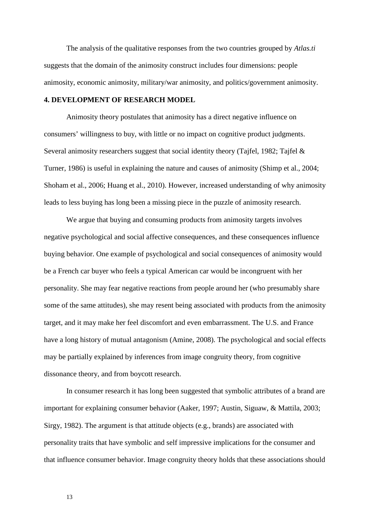The analysis of the qualitative responses from the two countries grouped by *Atlas.ti* suggests that the domain of the animosity construct includes four dimensions: people animosity, economic animosity, military/war animosity, and politics/government animosity.

## **4. DEVELOPMENT OF RESEARCH MODEL**

Animosity theory postulates that animosity has a direct negative influence on consumers' willingness to buy, with little or no impact on cognitive product judgments. Several animosity researchers suggest that social identity theory (Tajfel, 1982; Tajfel  $\&$ Turner, 1986) is useful in explaining the nature and causes of animosity (Shimp et al., 2004; Shoham et al., 2006; Huang et al., 2010). However, increased understanding of why animosity leads to less buying has long been a missing piece in the puzzle of animosity research.

We argue that buying and consuming products from animosity targets involves negative psychological and social affective consequences, and these consequences influence buying behavior. One example of psychological and social consequences of animosity would be a French car buyer who feels a typical American car would be incongruent with her personality. She may fear negative reactions from people around her (who presumably share some of the same attitudes), she may resent being associated with products from the animosity target, and it may make her feel discomfort and even embarrassment. The U.S. and France have a long history of mutual antagonism (Amine, 2008). The psychological and social effects may be partially explained by inferences from image congruity theory, from cognitive dissonance theory, and from boycott research.

In consumer research it has long been suggested that symbolic attributes of a brand are important for explaining consumer behavior (Aaker, 1997; Austin, Siguaw, & Mattila, 2003; Sirgy, 1982). The argument is that attitude objects (e.g., brands) are associated with personality traits that have symbolic and self impressive implications for the consumer and that influence consumer behavior. Image congruity theory holds that these associations should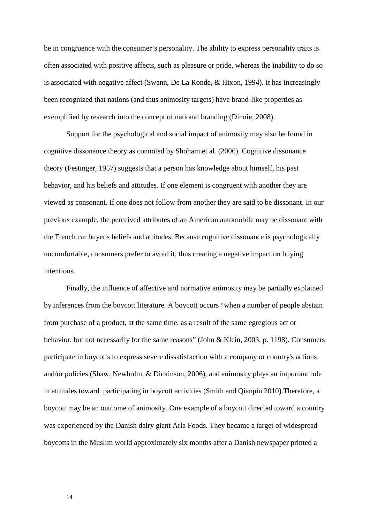be in congruence with the consumer's personality. The ability to express personality traits is often associated with positive affects, such as pleasure or pride, whereas the inability to do so is associated with negative affect (Swann, De La Ronde, & Hixon, 1994). It has increasingly been recognized that nations (and thus animosity targets) have brand-like properties as exemplified by research into the concept of national branding (Dinnie, 2008).

Support for the psychological and social impact of animosity may also be found in cognitive dissonance theory as connoted by Shoham et al. (2006). Cognitive dissonance theory (Festinger, 1957) suggests that a person has knowledge about himself, his past behavior, and his beliefs and attitudes. If one element is congruent with another they are viewed as consonant. If one does not follow from another they are said to be dissonant. In our previous example, the perceived attributes of an American automobile may be dissonant with the French car buyer's beliefs and attitudes. Because cognitive dissonance is psychologically uncomfortable, consumers prefer to avoid it, thus creating a negative impact on buying intentions.

Finally, the influence of affective and normative animosity may be partially explained by inferences from the boycott literature. A boycott occurs "when a number of people abstain from purchase of a product, at the same time, as a result of the same egregious act or behavior, but not necessarily for the same reasons" (John & Klein, 2003, p. 1198). Consumers participate in boycotts to express severe dissatisfaction with a company or country's actions and/or policies (Shaw, Newholm, & Dickinson, 2006), and animosity plays an important role in attitudes toward participating in boycott activities (Smith and Qianpin 2010).Therefore, a boycott may be an outcome of animosity. One example of a boycott directed toward a country was experienced by the Danish dairy giant Arla Foods. They became a target of widespread boycotts in the Muslim world approximately six months after a Danish newspaper printed a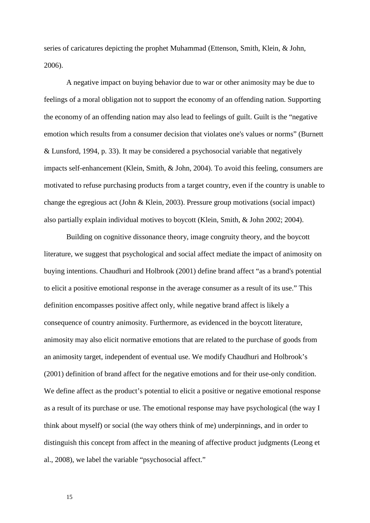series of caricatures depicting the prophet Muhammad (Ettenson, Smith, Klein, & John, 2006).

A negative impact on buying behavior due to war or other animosity may be due to feelings of a moral obligation not to support the economy of an offending nation. Supporting the economy of an offending nation may also lead to feelings of guilt. Guilt is the "negative emotion which results from a consumer decision that violates one's values or norms" (Burnett & Lunsford, 1994, p. 33). It may be considered a psychosocial variable that negatively impacts self-enhancement (Klein, Smith, & John, 2004). To avoid this feeling, consumers are motivated to refuse purchasing products from a target country, even if the country is unable to change the egregious act (John & Klein, 2003). Pressure group motivations (social impact) also partially explain individual motives to boycott (Klein, Smith, & John 2002; 2004).

Building on cognitive dissonance theory, image congruity theory, and the boycott literature, we suggest that psychological and social affect mediate the impact of animosity on buying intentions. Chaudhuri and Holbrook (2001) define brand affect "as a brand's potential to elicit a positive emotional response in the average consumer as a result of its use." This definition encompasses positive affect only, while negative brand affect is likely a consequence of country animosity. Furthermore, as evidenced in the boycott literature, animosity may also elicit normative emotions that are related to the purchase of goods from an animosity target, independent of eventual use. We modify Chaudhuri and Holbrook's (2001) definition of brand affect for the negative emotions and for their use-only condition. We define affect as the product's potential to elicit a positive or negative emotional response as a result of its purchase or use. The emotional response may have psychological (the way I think about myself) or social (the way others think of me) underpinnings, and in order to distinguish this concept from affect in the meaning of affective product judgments (Leong et al., 2008), we label the variable "psychosocial affect."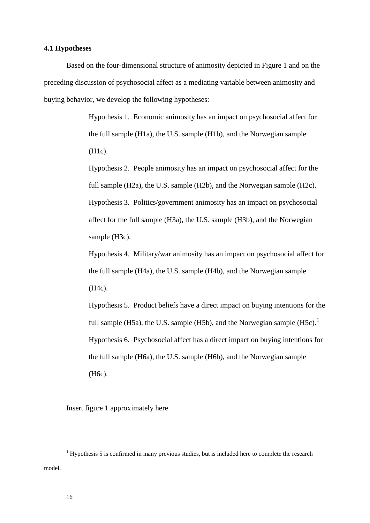## **4.1 Hypotheses**

Based on the four-dimensional structure of animosity depicted in Figure 1 and on the preceding discussion of psychosocial affect as a mediating variable between animosity and buying behavior, we develop the following hypotheses:

> Hypothesis 1. Economic animosity has an impact on psychosocial affect for the full sample (H1a), the U.S. sample (H1b), and the Norwegian sample (H1c).

> Hypothesis 2. People animosity has an impact on psychosocial affect for the full sample (H2a), the U.S. sample (H2b), and the Norwegian sample (H2c). Hypothesis 3. Politics/government animosity has an impact on psychosocial affect for the full sample (H3a), the U.S. sample (H3b), and the Norwegian sample (H3c).

Hypothesis 4. Military/war animosity has an impact on psychosocial affect for the full sample (H4a), the U.S. sample (H4b), and the Norwegian sample (H4c).

Hypothesis 5. Product beliefs have a direct impact on buying intentions for the full sample (H5a), the U.S. sample (H5b), and the Norwegian sample  $(H5c)$ . Hypothesis 6. Psychosocial affect has a direct impact on buying intentions for the full sample (H6a), the U.S. sample (H6b), and the Norwegian sample (H6c).

Insert figure 1 approximately here

 $\overline{a}$ 

<span id="page-15-0"></span> $<sup>1</sup>$  Hypothesis 5 is confirmed in many previous studies, but is included here to complete the research</sup> model.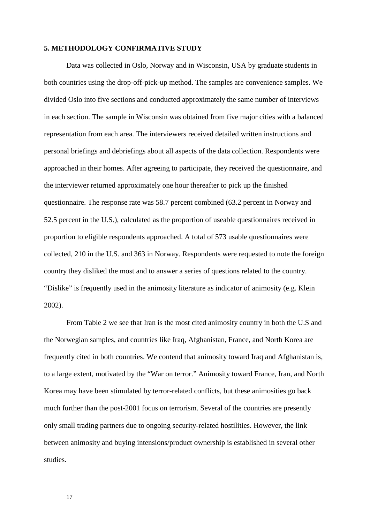## **5. METHODOLOGY CONFIRMATIVE STUDY**

Data was collected in Oslo, Norway and in Wisconsin, USA by graduate students in both countries using the drop-off-pick-up method. The samples are convenience samples. We divided Oslo into five sections and conducted approximately the same number of interviews in each section. The sample in Wisconsin was obtained from five major cities with a balanced representation from each area. The interviewers received detailed written instructions and personal briefings and debriefings about all aspects of the data collection. Respondents were approached in their homes. After agreeing to participate, they received the questionnaire, and the interviewer returned approximately one hour thereafter to pick up the finished questionnaire. The response rate was 58.7 percent combined (63.2 percent in Norway and 52.5 percent in the U.S.), calculated as the proportion of useable questionnaires received in proportion to eligible respondents approached. A total of 573 usable questionnaires were collected, 210 in the U.S. and 363 in Norway. Respondents were requested to note the foreign country they disliked the most and to answer a series of questions related to the country. "Dislike" is frequently used in the animosity literature as indicator of animosity (e.g. Klein 2002).

From Table 2 we see that Iran is the most cited animosity country in both the U.S and the Norwegian samples, and countries like Iraq, Afghanistan, France, and North Korea are frequently cited in both countries. We contend that animosity toward Iraq and Afghanistan is, to a large extent, motivated by the "War on terror." Animosity toward France, Iran, and North Korea may have been stimulated by terror-related conflicts, but these animosities go back much further than the post-2001 focus on terrorism. Several of the countries are presently only small trading partners due to ongoing security-related hostilities. However, the link between animosity and buying intensions/product ownership is established in several other studies.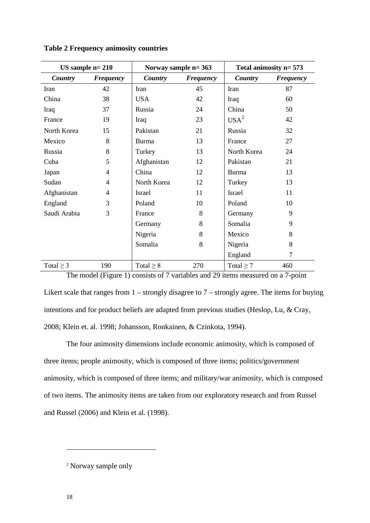| US sample $n = 210$ |                  |                | Norway sample n= 363 | Total animosity n= 573 |                  |  |
|---------------------|------------------|----------------|----------------------|------------------------|------------------|--|
| Country             | <b>Frequency</b> | <b>Country</b> | <b>Frequency</b>     | <b>Country</b>         | <b>Frequency</b> |  |
| Iran                | 42               | Iran           | 45                   | Iran                   | 87               |  |
| China               | 38               | <b>USA</b>     | 42                   | Iraq                   | 60               |  |
| Iraq                | 37               | Russia         | 24                   | China                  | 50               |  |
| France              | 19               | Iraq           | 23                   | USA <sup>2</sup>       | 42               |  |
| North Korea         | 15               | Pakistan       | 21                   | Russia                 | 32               |  |
| Mexico              | 8                | Burma          | 13                   | France                 | 27               |  |
| Russia              | 8                | Turkey         | 13                   | North Korea            | 24               |  |
| Cuba                | 5                | Afghanistan    | 12                   | Pakistan               | 21               |  |
| Japan               | $\overline{4}$   | China          | 12                   | <b>Burma</b>           | 13               |  |
| Sudan               | 4                | North Korea    | 12                   | Turkey                 | 13               |  |
| Afghanistan         | 4                | Israel         | 11                   | <b>Israel</b>          | 11               |  |
| England             | 3                | Poland         | 10                   | Poland                 | 10               |  |
| Saudi Arabia        | 3                | France         | 8                    | Germany                | 9                |  |
|                     |                  | Germany        | 8                    | Somalia                | 9                |  |
|                     |                  | Nigeria        | 8                    | Mexico                 | 8                |  |
|                     |                  | Somalia        | 8                    | Nigeria                | 8                |  |
|                     |                  |                |                      | England                | 7                |  |
| Total $\geq$ 3      | 190              | Total $\geq 8$ | 270                  | Total $\geq 7$         | 460              |  |

**Table 2 Frequency animosity countries** 

The model (Figure 1) consists of 7 variables and 29 items measured on a 7-point Likert scale that ranges from 1 – strongly disagree to 7 – strongly agree. The items for buying intentions and for product beliefs are adapted from previous studies (Heslop, Lu, & Cray, 2008; Klein et. al. 1998; Johansson, Ronkainen, & Czinkota, 1994).

The four animosity dimensions include economic animosity, which is composed of three items; people animosity, which is composed of three items; politics/government animosity, which is composed of three items; and military/war animosity, which is composed of two items. The animosity items are taken from our exploratory research and from Russel and Russel (2006) and Klein et al. (1998).

 $\overline{a}$ 

<span id="page-17-0"></span><sup>&</sup>lt;sup>2</sup> Norway sample only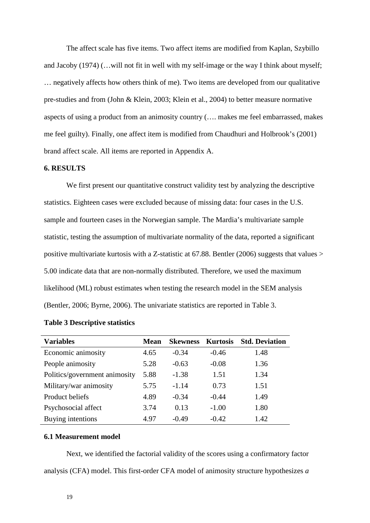The affect scale has five items. Two affect items are modified from Kaplan, Szybillo and Jacoby (1974) (…will not fit in well with my self-image or the way I think about myself; … negatively affects how others think of me). Two items are developed from our qualitative pre-studies and from (John & Klein, 2003; Klein et al., 2004) to better measure normative aspects of using a product from an animosity country (…. makes me feel embarrassed, makes me feel guilty). Finally, one affect item is modified from Chaudhuri and Holbrook's (2001) brand affect scale. All items are reported in Appendix A.

### **6. RESULTS**

We first present our quantitative construct validity test by analyzing the descriptive statistics. Eighteen cases were excluded because of missing data: four cases in the U.S. sample and fourteen cases in the Norwegian sample. The Mardia's multivariate sample statistic, testing the assumption of multivariate normality of the data, reported a significant positive multivariate kurtosis with a Z-statistic at 67.88. Bentler (2006) suggests that values > 5.00 indicate data that are non-normally distributed. Therefore, we used the maximum likelihood (ML) robust estimates when testing the research model in the SEM analysis (Bentler, 2006; Byrne, 2006). The univariate statistics are reported in Table 3.

| <b>Variables</b>              | <b>Mean</b> | <b>Skewness</b> | Kurtosis | <b>Std. Deviation</b> |
|-------------------------------|-------------|-----------------|----------|-----------------------|
| Economic animosity            | 4.65        | $-0.34$         | $-0.46$  | 1.48                  |
| People animosity              | 5.28        | $-0.63$         | $-0.08$  | 1.36                  |
| Politics/government animosity | 5.88        | $-1.38$         | 1.51     | 1.34                  |
| Military/war animosity        | 5.75        | $-1.14$         | 0.73     | 1.51                  |
| Product beliefs               | 4.89        | $-0.34$         | $-0.44$  | 1.49                  |
| Psychosocial affect           | 3.74        | 0.13            | $-1.00$  | 1.80                  |
| Buying intentions             | 4.97        | $-0.49$         | $-0.42$  | 1.42                  |

## **Table 3 Descriptive statistics**

#### **6.1 Measurement model**

Next, we identified the factorial validity of the scores using a confirmatory factor analysis (CFA) model. This first-order CFA model of animosity structure hypothesizes *a*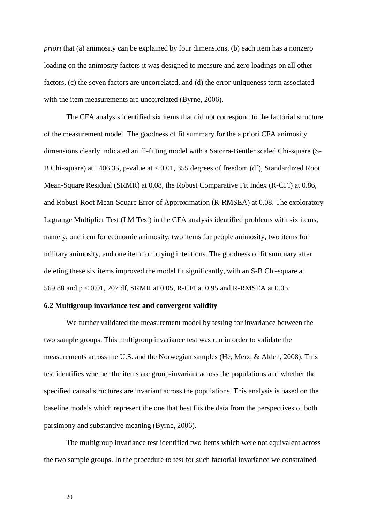*priori* that (a) animosity can be explained by four dimensions, (b) each item has a nonzero loading on the animosity factors it was designed to measure and zero loadings on all other factors, (c) the seven factors are uncorrelated, and (d) the error-uniqueness term associated with the item measurements are uncorrelated (Byrne, 2006).

The CFA analysis identified six items that did not correspond to the factorial structure of the measurement model. The goodness of fit summary for the a priori CFA animosity dimensions clearly indicated an ill-fitting model with a Satorra-Bentler scaled Chi-square (S-B Chi-square) at 1406.35, p-value at < 0.01, 355 degrees of freedom (df), Standardized Root Mean-Square Residual (SRMR) at 0.08, the Robust Comparative Fit Index (R-CFI) at 0.86, and Robust-Root Mean-Square Error of Approximation (R-RMSEA) at 0.08. The exploratory Lagrange Multiplier Test (LM Test) in the CFA analysis identified problems with six items, namely, one item for economic animosity, two items for people animosity, two items for military animosity, and one item for buying intentions. The goodness of fit summary after deleting these six items improved the model fit significantly, with an S-B Chi-square at 569.88 and p < 0.01, 207 df, SRMR at 0.05, R-CFI at 0.95 and R-RMSEA at 0.05.

#### **6.2 Multigroup invariance test and convergent validity**

We further validated the measurement model by testing for invariance between the two sample groups. This multigroup invariance test was run in order to validate the measurements across the U.S. and the Norwegian samples (He, Merz, & Alden, 2008). This test identifies whether the items are group-invariant across the populations and whether the specified causal structures are invariant across the populations. This analysis is based on the baseline models which represent the one that best fits the data from the perspectives of both parsimony and substantive meaning (Byrne, 2006).

The multigroup invariance test identified two items which were not equivalent across the two sample groups. In the procedure to test for such factorial invariance we constrained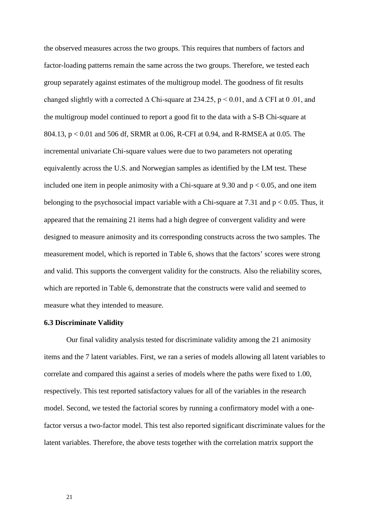the observed measures across the two groups. This requires that numbers of factors and factor-loading patterns remain the same across the two groups. Therefore, we tested each group separately against estimates of the multigroup model. The goodness of fit results changed slightly with a corrected  $\Delta$  Chi-square at 234.25, p < 0.01, and  $\Delta$  CFI at 0.01, and the multigroup model continued to report a good fit to the data with a S-B Chi-square at 804.13, p < 0.01 and 506 df, SRMR at 0.06, R-CFI at 0.94, and R-RMSEA at 0.05. The incremental univariate Chi-square values were due to two parameters not operating equivalently across the U.S. and Norwegian samples as identified by the LM test. These included one item in people animosity with a Chi-square at 9.30 and  $p < 0.05$ , and one item belonging to the psychosocial impact variable with a Chi-square at 7.31 and  $p < 0.05$ . Thus, it appeared that the remaining 21 items had a high degree of convergent validity and were designed to measure animosity and its corresponding constructs across the two samples. The measurement model, which is reported in Table 6, shows that the factors' scores were strong and valid. This supports the convergent validity for the constructs. Also the reliability scores, which are reported in Table 6, demonstrate that the constructs were valid and seemed to measure what they intended to measure.

#### **6.3 Discriminate Validity**

Our final validity analysis tested for discriminate validity among the 21 animosity items and the 7 latent variables. First, we ran a series of models allowing all latent variables to correlate and compared this against a series of models where the paths were fixed to 1.00, respectively. This test reported satisfactory values for all of the variables in the research model. Second, we tested the factorial scores by running a confirmatory model with a onefactor versus a two-factor model. This test also reported significant discriminate values for the latent variables. Therefore, the above tests together with the correlation matrix support the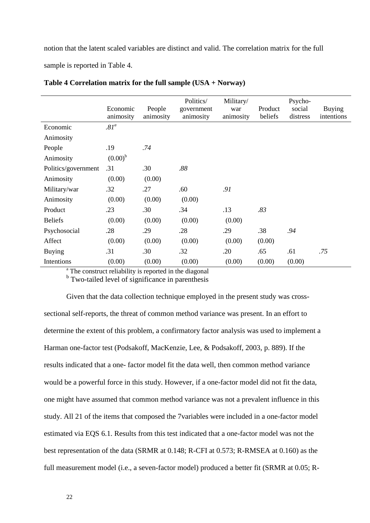notion that the latent scaled variables are distinct and valid. The correlation matrix for the full sample is reported in Table 4.

|                     | Economic<br>animosity | People<br>animosity | Politics/<br>government<br>animosity | Military/<br>war<br>animosity | Product<br>beliefs | Psycho-<br>social<br>distress | Buying<br>intentions |
|---------------------|-----------------------|---------------------|--------------------------------------|-------------------------------|--------------------|-------------------------------|----------------------|
| Economic            | .81 <sup>a</sup>      |                     |                                      |                               |                    |                               |                      |
| Animosity           |                       |                     |                                      |                               |                    |                               |                      |
| People              | .19                   | .74                 |                                      |                               |                    |                               |                      |
| Animosity           | $(0.00)^{b}$          |                     |                                      |                               |                    |                               |                      |
| Politics/government | .31                   | .30                 | .88                                  |                               |                    |                               |                      |
| Animosity           | (0.00)                | (0.00)              |                                      |                               |                    |                               |                      |
| Military/war        | .32                   | .27                 | .60                                  | .91                           |                    |                               |                      |
| Animosity           | (0.00)                | (0.00)              | (0.00)                               |                               |                    |                               |                      |
| Product             | .23                   | .30                 | .34                                  | .13                           | .83                |                               |                      |
| <b>Beliefs</b>      | (0.00)                | (0.00)              | (0.00)                               | (0.00)                        |                    |                               |                      |
| Psychosocial        | .28                   | .29                 | .28                                  | .29                           | .38                | .94                           |                      |
| Affect              | (0.00)                | (0.00)              | (0.00)                               | (0.00)                        | (0.00)             |                               |                      |
| <b>Buying</b>       | .31                   | .30                 | .32                                  | .20                           | .65                | .61                           | .75                  |
| Intentions          | (0.00)                | (0.00)              | (0.00)                               | (0.00)                        | (0.00)             | (0.00)                        |                      |

**Table 4 Correlation matrix for the full sample (USA + Norway)**

<sup>a</sup> The construct reliability is reported in the diagonal

<sup>b</sup> Two-tailed level of significance in parenthesis

Given that the data collection technique employed in the present study was crosssectional self-reports, the threat of common method variance was present. In an effort to determine the extent of this problem, a confirmatory factor analysis was used to implement a Harman one-factor test (Podsakoff, MacKenzie, Lee, & Podsakoff, 2003, p. 889). If the results indicated that a one- factor model fit the data well, then common method variance would be a powerful force in this study. However, if a one-factor model did not fit the data, one might have assumed that common method variance was not a prevalent influence in this study. All 21 of the items that composed the 7variables were included in a one-factor model estimated via EQS 6.1. Results from this test indicated that a one-factor model was not the best representation of the data (SRMR at 0.148; R-CFI at 0.573; R-RMSEA at 0.160) as the full measurement model (i.e., a seven-factor model) produced a better fit (SRMR at 0.05; R-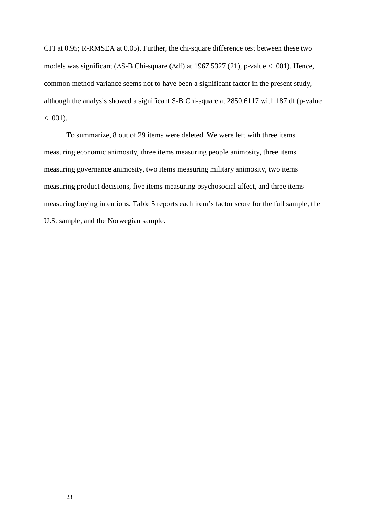CFI at 0.95; R-RMSEA at 0.05). Further, the chi-square difference test between these two models was significant (∆S-B Chi-square (∆df) at 1967.5327 (21), p-value < .001). Hence, common method variance seems not to have been a significant factor in the present study, although the analysis showed a significant S-B Chi-square at 2850.6117 with 187 df (p-value  $< .001$ ).

To summarize, 8 out of 29 items were deleted. We were left with three items measuring economic animosity, three items measuring people animosity, three items measuring governance animosity, two items measuring military animosity, two items measuring product decisions, five items measuring psychosocial affect, and three items measuring buying intentions. Table 5 reports each item's factor score for the full sample, the U.S. sample, and the Norwegian sample.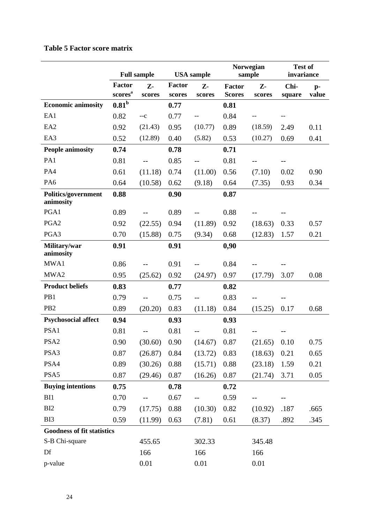## **Table 5 Factor score matrix**

|                                   | <b>Full sample</b><br><b>USA</b> sample |         |        | Norwegian<br>sample |               |         | <b>Test of</b><br>invariance |       |
|-----------------------------------|-----------------------------------------|---------|--------|---------------------|---------------|---------|------------------------------|-------|
|                                   | <b>Factor</b>                           | $Z -$   | Factor | $Z -$               | Factor        | $Z -$   | Chi-                         | $p-$  |
|                                   | scores <sup>a</sup>                     | scores  | scores | scores              | <b>Scores</b> | scores  | square                       | value |
| <b>Economic animosity</b>         | 0.81 <sup>b</sup>                       |         | 0.77   |                     | 0.81          |         |                              |       |
| EA1                               | 0.82                                    | $--C$   | 0.77   | --                  | 0.84          | --      |                              |       |
| EA <sub>2</sub>                   | 0.92                                    | (21.43) | 0.95   | (10.77)             | 0.89          | (18.59) | 2.49                         | 0.11  |
| EA3                               | 0.52                                    | (12.89) | 0.40   | (5.82)              | 0.53          | (10.27) | 0.69                         | 0.41  |
| <b>People animosity</b>           | 0.74                                    |         | 0.78   |                     | 0.71          |         |                              |       |
| PA1                               | 0.81                                    | $-$     | 0.85   | $-$                 | 0.81          |         |                              |       |
| PA4                               | 0.61                                    | (11.18) | 0.74   | (11.00)             | 0.56          | (7.10)  | 0.02                         | 0.90  |
| PA6                               | 0.64                                    | (10.58) | 0.62   | (9.18)              | 0.64          | (7.35)  | 0.93                         | 0.34  |
| Politics/government<br>animosity  | 0.88                                    |         | 0.90   |                     | 0.87          |         |                              |       |
| PGA1                              | 0.89                                    | $-$     | 0.89   | $-$                 | 0.88          | --      |                              |       |
| PGA <sub>2</sub>                  | 0.92                                    | (22.55) | 0.94   | (11.89)             | 0.92          | (18.63) | 0.33                         | 0.57  |
| PGA3                              | 0.70                                    | (15.88) | 0.75   | (9.34)              | 0.68          | (12.83) | 1.57                         | 0.21  |
| Military/war<br>animosity         | 0.91                                    |         | 0.91   |                     | 0,90          |         |                              |       |
| MWA1                              | 0.86                                    | $-$     | 0.91   | $-$                 | 0.84          | --      |                              |       |
| MWA2                              | 0.95                                    | (25.62) | 0.92   | (24.97)             | 0.97          | (17.79) | 3.07                         | 0.08  |
| <b>Product beliefs</b>            | 0.83                                    |         | 0.77   |                     | 0.82          |         |                              |       |
| PB1                               | 0.79                                    | $-$     | 0.75   | $-$                 | 0.83          | $-$     |                              |       |
| PB <sub>2</sub>                   | 0.89                                    | (20.20) | 0.83   | (11.18)             | 0.84          | (15.25) | 0.17                         | 0.68  |
| <b>Psychosocial affect</b>        | 0.94                                    |         | 0.93   |                     | 0.93          |         |                              |       |
| PSA1                              | 0.81                                    |         | 0.81   | --                  | 0.81          |         |                              |       |
| PSA <sub>2</sub>                  | 0.90                                    | (30.60) | 0.90   | (14.67)             | 0.87          | (21.65) | 0.10                         | 0.75  |
| PSA3                              | 0.87                                    | (26.87) | 0.84   | (13.72)             | 0.83          | (18.63) | 0.21                         | 0.65  |
| PSA4                              | 0.89                                    | (30.26) | 0.88   | (15.71)             | 0.88          | (23.18) | 1.59                         | 0.21  |
| PSA5                              | 0.87                                    | (29.46) | 0.87   | (16.26)             | 0.87          | (21.74) | 3.71                         | 0.05  |
| <b>Buying intentions</b>          | 0.75                                    |         | 0.78   |                     | 0.72          |         |                              |       |
| BI1                               | 0.70                                    |         | 0.67   |                     | 0.59          |         |                              |       |
| BI <sub>2</sub>                   | 0.79                                    | (17.75) | 0.88   | (10.30)             | 0.82          | (10.92) | .187                         | .665  |
| BI3                               | 0.59                                    | (11.99) | 0.63   | (7.81)              | 0.61          | (8.37)  | .892                         | .345  |
| <b>Goodness of fit statistics</b> |                                         |         |        |                     |               |         |                              |       |
| S-B Chi-square                    |                                         | 455.65  |        | 302.33              |               | 345.48  |                              |       |
| Df                                |                                         | 166     |        | 166                 |               | 166     |                              |       |
| p-value                           |                                         | 0.01    |        | 0.01                |               | 0.01    |                              |       |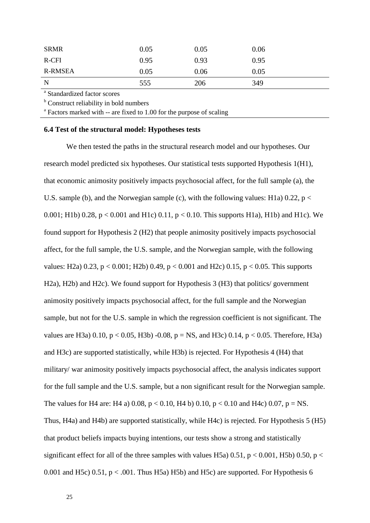| <b>SRMR</b>    | 0.05 | 0.05 | 0.06 |
|----------------|------|------|------|
| R-CFI          | 0.95 | 0.93 | 0.95 |
| <b>R-RMSEA</b> | 0.05 | 0.06 | 0.05 |
| N              | 555  | 206  | 349  |
| 20.111         |      |      |      |

Standardized factor scores

 $<sup>b</sup>$  Construct reliability in bold numbers</sup>

 $a<sup>a</sup>$  Factors marked with  $-$  are fixed to 1.00 for the purpose of scaling

#### **6.4 Test of the structural model: Hypotheses tests**

We then tested the paths in the structural research model and our hypotheses. Our research model predicted six hypotheses. Our statistical tests supported Hypothesis 1(H1), that economic animosity positively impacts psychosocial affect, for the full sample (a), the U.S. sample (b), and the Norwegian sample (c), with the following values: H1a)  $0.22$ ,  $p <$ 0.001; H1b) 0.28,  $p < 0.001$  and H1c) 0.11,  $p < 0.10$ . This supports H1a), H1b) and H1c). We found support for Hypothesis 2 (H2) that people animosity positively impacts psychosocial affect, for the full sample, the U.S. sample, and the Norwegian sample, with the following values: H2a) 0.23,  $p < 0.001$ ; H2b) 0.49,  $p < 0.001$  and H2c) 0.15,  $p < 0.05$ . This supports H2a), H2b) and H2c). We found support for Hypothesis 3 (H3) that politics/ government animosity positively impacts psychosocial affect, for the full sample and the Norwegian sample, but not for the U.S. sample in which the regression coefficient is not significant. The values are H3a) 0.10,  $p < 0.05$ , H3b) -0.08,  $p = NS$ , and H3c) 0.14,  $p < 0.05$ . Therefore, H3a) and H3c) are supported statistically, while H3b) is rejected. For Hypothesis 4 (H4) that military/ war animosity positively impacts psychosocial affect, the analysis indicates support for the full sample and the U.S. sample, but a non significant result for the Norwegian sample. The values for H4 are: H4 a) 0.08,  $p < 0.10$ , H4 b) 0.10,  $p < 0.10$  and H4c) 0.07,  $p = NS$ . Thus, H4a) and H4b) are supported statistically, while H4c) is rejected. For Hypothesis 5 (H5) that product beliefs impacts buying intentions, our tests show a strong and statistically significant effect for all of the three samples with values H5a) 0.51,  $p < 0.001$ , H5b) 0.50,  $p <$ 0.001 and H5c) 0.51,  $p < .001$ . Thus H5a) H5b) and H5c) are supported. For Hypothesis 6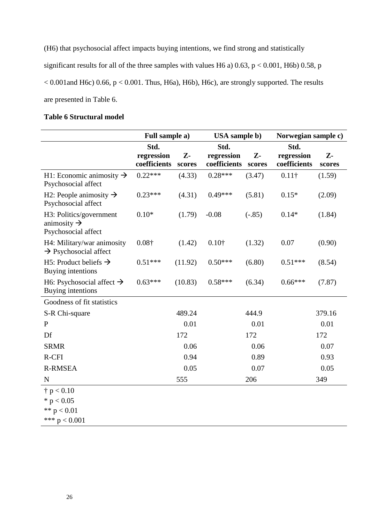(H6) that psychosocial affect impacts buying intentions, we find strong and statistically significant results for all of the three samples with values H6 a) 0.63,  $p < 0.001$ , H6b) 0.58, p  $< 0.001$  and H6c) 0.66, p  $< 0.001$ . Thus, H6a), H6b), H6c), are strongly supported. The results are presented in Table 6.

## **Table 6 Structural model**

|                                                                           | Full sample a)            |                  | <b>USA</b> sample b)      |                  | Norwegian sample c)           |                  |
|---------------------------------------------------------------------------|---------------------------|------------------|---------------------------|------------------|-------------------------------|------------------|
|                                                                           | Std.                      |                  | Std.                      |                  | Std.                          |                  |
|                                                                           | regression                | $Z-$             | regression                | $Z -$            | regression                    | $Z -$            |
| H1: Economic animosity $\rightarrow$                                      | coefficients<br>$0.22***$ | scores<br>(4.33) | coefficients<br>$0.28***$ | scores<br>(3.47) | coefficients<br>$0.11\dagger$ | scores<br>(1.59) |
| Psychosocial affect                                                       |                           |                  |                           |                  |                               |                  |
| H2: People animosity $\rightarrow$<br>Psychosocial affect                 | $0.23***$                 | (4.31)           | $0.49***$                 | (5.81)           | $0.15*$                       | (2.09)           |
| H3: Politics/government<br>animosity $\rightarrow$<br>Psychosocial affect | $0.10*$                   | (1.79)           | $-0.08$                   | $(-.85)$         | $0.14*$                       | (1.84)           |
| H4: Military/war animosity<br>$\rightarrow$ Psychosocial affect           | $0.08\dagger$             | (1.42)           | $0.10\dagger$             | (1.32)           | 0.07                          | (0.90)           |
| H5: Product beliefs $\rightarrow$<br>Buying intentions                    | $0.51***$                 | (11.92)          | $0.50***$                 | (6.80)           | $0.51***$                     | (8.54)           |
| H6: Psychosocial affect $\rightarrow$<br>Buying intentions                | $0.63***$                 | (10.83)          | $0.58***$                 | (6.34)           | $0.66***$                     | (7.87)           |
| Goodness of fit statistics                                                |                           |                  |                           |                  |                               |                  |
| S-R Chi-square                                                            |                           | 489.24           |                           | 444.9            |                               | 379.16           |
| $\mathbf{P}$                                                              |                           | 0.01             |                           | 0.01             |                               | 0.01             |
| Df                                                                        |                           | 172              |                           | 172              |                               | 172              |
| <b>SRMR</b>                                                               |                           | 0.06             |                           | 0.06             |                               | 0.07             |
| R-CFI                                                                     |                           | 0.94             |                           | 0.89             |                               | 0.93             |
| <b>R-RMSEA</b>                                                            |                           | 0.05             |                           | 0.07             |                               | 0.05             |
| $\mathbf N$                                                               |                           | 555              |                           | 206              |                               | 349              |
| $\dagger p < 0.10$                                                        |                           |                  |                           |                  |                               |                  |
| * $p < 0.05$                                                              |                           |                  |                           |                  |                               |                  |
| ** $p < 0.01$                                                             |                           |                  |                           |                  |                               |                  |
| *** $p < 0.001$                                                           |                           |                  |                           |                  |                               |                  |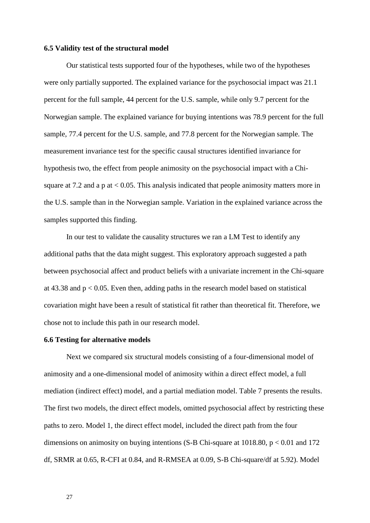#### **6.5 Validity test of the structural model**

Our statistical tests supported four of the hypotheses, while two of the hypotheses were only partially supported. The explained variance for the psychosocial impact was 21.1 percent for the full sample, 44 percent for the U.S. sample, while only 9.7 percent for the Norwegian sample. The explained variance for buying intentions was 78.9 percent for the full sample, 77.4 percent for the U.S. sample, and 77.8 percent for the Norwegian sample. The measurement invariance test for the specific causal structures identified invariance for hypothesis two, the effect from people animosity on the psychosocial impact with a Chisquare at 7.2 and a p at < 0.05. This analysis indicated that people animosity matters more in the U.S. sample than in the Norwegian sample. Variation in the explained variance across the samples supported this finding.

In our test to validate the causality structures we ran a LM Test to identify any additional paths that the data might suggest. This exploratory approach suggested a path between psychosocial affect and product beliefs with a univariate increment in the Chi-square at  $43.38$  and  $p < 0.05$ . Even then, adding paths in the research model based on statistical covariation might have been a result of statistical fit rather than theoretical fit. Therefore, we chose not to include this path in our research model.

#### **6.6 Testing for alternative models**

Next we compared six structural models consisting of a four-dimensional model of animosity and a one-dimensional model of animosity within a direct effect model, a full mediation (indirect effect) model, and a partial mediation model. Table 7 presents the results. The first two models, the direct effect models, omitted psychosocial affect by restricting these paths to zero. Model 1, the direct effect model, included the direct path from the four dimensions on animosity on buying intentions (S-B Chi-square at 1018.80,  $p < 0.01$  and 172 df, SRMR at 0.65, R-CFI at 0.84, and R-RMSEA at 0.09, S-B Chi-square/df at 5.92). Model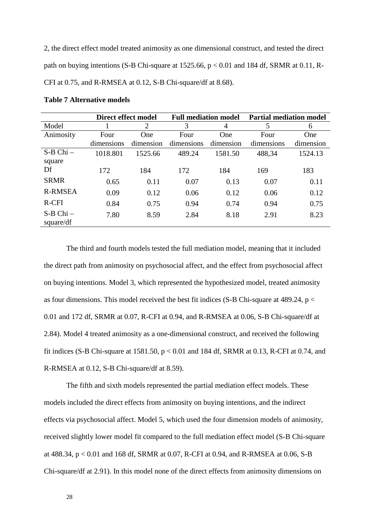2, the direct effect model treated animosity as one dimensional construct, and tested the direct path on buying intentions (S-B Chi-square at  $1525.66$ ,  $p < 0.01$  and 184 df, SRMR at 0.11, R-CFI at 0.75, and R-RMSEA at 0.12, S-B Chi-square/df at 8.68).

|                          | Direct effect model |           | <b>Full mediation model</b> |           | <b>Partial mediation model</b> |           |
|--------------------------|---------------------|-----------|-----------------------------|-----------|--------------------------------|-----------|
| Model                    |                     | 2         | 3                           | 4         | 5                              | 6         |
| Animosity                | Four                | One       | Four                        | One       | Four                           | One       |
|                          | dimensions          | dimension | dimensions                  | dimension | dimensions                     | dimension |
| $S-B Chi -$              | 1018.801            | 1525.66   | 489.24                      | 1581.50   | 488,34                         | 1524.13   |
| square                   |                     |           |                             |           |                                |           |
| Df                       | 172                 | 184       | 172                         | 184       | 169                            | 183       |
| <b>SRMR</b>              | 0.65                | 0.11      | 0.07                        | 0.13      | 0.07                           | 0.11      |
| <b>R-RMSEA</b>           | 0.09                | 0.12      | 0.06                        | 0.12      | 0.06                           | 0.12      |
| R-CFI                    | 0.84                | 0.75      | 0.94                        | 0.74      | 0.94                           | 0.75      |
| $S-B Chi -$<br>square/df | 7.80                | 8.59      | 2.84                        | 8.18      | 2.91                           | 8.23      |

#### **Table 7 Alternative models**

The third and fourth models tested the full mediation model, meaning that it included the direct path from animosity on psychosocial affect, and the effect from psychosocial affect on buying intentions. Model 3, which represented the hypothesized model, treated animosity as four dimensions. This model received the best fit indices (S-B Chi-square at  $489.24$ , p  $<$ 0.01 and 172 df, SRMR at 0.07, R-CFI at 0.94, and R-RMSEA at 0.06, S-B Chi-square/df at 2.84). Model 4 treated animosity as a one-dimensional construct, and received the following fit indices (S-B Chi-square at 1581.50,  $p < 0.01$  and 184 df, SRMR at 0.13, R-CFI at 0.74, and R-RMSEA at 0.12, S-B Chi-square/df at 8.59).

The fifth and sixth models represented the partial mediation effect models. These models included the direct effects from animosity on buying intentions, and the indirect effects via psychosocial affect. Model 5, which used the four dimension models of animosity, received slightly lower model fit compared to the full mediation effect model (S-B Chi-square at 488.34, p < 0.01 and 168 df, SRMR at 0.07, R-CFI at 0.94, and R-RMSEA at 0.06, S-B Chi-square/df at 2.91). In this model none of the direct effects from animosity dimensions on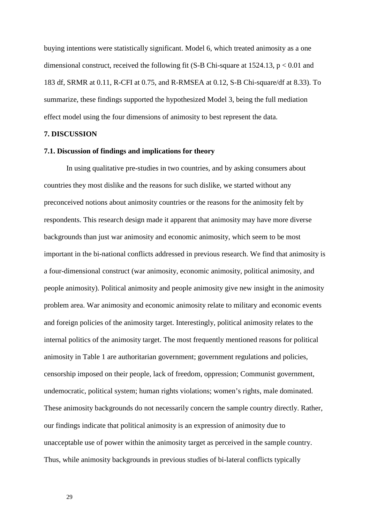buying intentions were statistically significant. Model 6, which treated animosity as a one dimensional construct, received the following fit (S-B Chi-square at 1524.13,  $p < 0.01$  and 183 df, SRMR at 0.11, R-CFI at 0.75, and R-RMSEA at 0.12, S-B Chi-square/df at 8.33). To summarize, these findings supported the hypothesized Model 3, being the full mediation effect model using the four dimensions of animosity to best represent the data.

### **7. DISCUSSION**

#### **7.1. Discussion of findings and implications for theory**

In using qualitative pre-studies in two countries, and by asking consumers about countries they most dislike and the reasons for such dislike, we started without any preconceived notions about animosity countries or the reasons for the animosity felt by respondents. This research design made it apparent that animosity may have more diverse backgrounds than just war animosity and economic animosity, which seem to be most important in the bi-national conflicts addressed in previous research. We find that animosity is a four-dimensional construct (war animosity, economic animosity, political animosity, and people animosity). Political animosity and people animosity give new insight in the animosity problem area. War animosity and economic animosity relate to military and economic events and foreign policies of the animosity target. Interestingly, political animosity relates to the internal politics of the animosity target. The most frequently mentioned reasons for political animosity in Table 1 are authoritarian government; government regulations and policies, censorship imposed on their people, lack of freedom, oppression; Communist government, undemocratic, political system; human rights violations; women's rights, male dominated. These animosity backgrounds do not necessarily concern the sample country directly. Rather, our findings indicate that political animosity is an expression of animosity due to unacceptable use of power within the animosity target as perceived in the sample country. Thus, while animosity backgrounds in previous studies of bi-lateral conflicts typically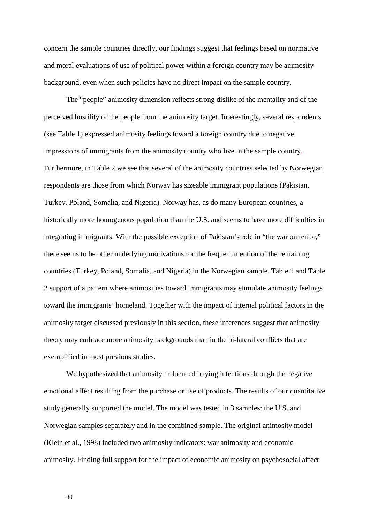concern the sample countries directly, our findings suggest that feelings based on normative and moral evaluations of use of political power within a foreign country may be animosity background, even when such policies have no direct impact on the sample country.

The "people" animosity dimension reflects strong dislike of the mentality and of the perceived hostility of the people from the animosity target. Interestingly, several respondents (see Table 1) expressed animosity feelings toward a foreign country due to negative impressions of immigrants from the animosity country who live in the sample country. Furthermore, in Table 2 we see that several of the animosity countries selected by Norwegian respondents are those from which Norway has sizeable immigrant populations (Pakistan, Turkey, Poland, Somalia, and Nigeria). Norway has, as do many European countries, a historically more homogenous population than the U.S. and seems to have more difficulties in integrating immigrants. With the possible exception of Pakistan's role in "the war on terror," there seems to be other underlying motivations for the frequent mention of the remaining countries (Turkey, Poland, Somalia, and Nigeria) in the Norwegian sample. Table 1 and Table 2 support of a pattern where animosities toward immigrants may stimulate animosity feelings toward the immigrants' homeland. Together with the impact of internal political factors in the animosity target discussed previously in this section, these inferences suggest that animosity theory may embrace more animosity backgrounds than in the bi-lateral conflicts that are exemplified in most previous studies.

We hypothesized that animosity influenced buying intentions through the negative emotional affect resulting from the purchase or use of products. The results of our quantitative study generally supported the model. The model was tested in 3 samples: the U.S. and Norwegian samples separately and in the combined sample. The original animosity model (Klein et al., 1998) included two animosity indicators: war animosity and economic animosity. Finding full support for the impact of economic animosity on psychosocial affect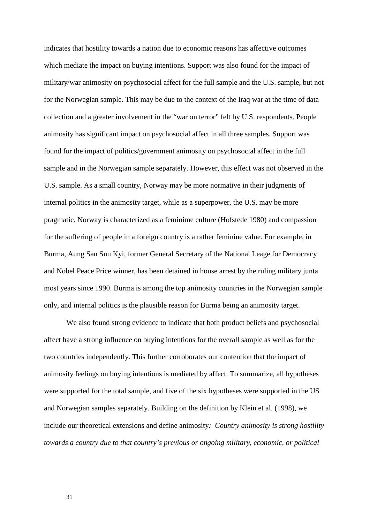indicates that hostility towards a nation due to economic reasons has affective outcomes which mediate the impact on buying intentions. Support was also found for the impact of military/war animosity on psychosocial affect for the full sample and the U.S. sample, but not for the Norwegian sample. This may be due to the context of the Iraq war at the time of data collection and a greater involvement in the "war on terror" felt by U.S. respondents. People animosity has significant impact on psychosocial affect in all three samples. Support was found for the impact of politics/government animosity on psychosocial affect in the full sample and in the Norwegian sample separately. However, this effect was not observed in the U.S. sample. As a small country, Norway may be more normative in their judgments of internal politics in the animosity target, while as a superpower, the U.S. may be more pragmatic. Norway is characterized as a feminime culture (Hofstede 1980) and compassion for the suffering of people in a foreign country is a rather feminine value. For example, in Burma, Aung San Suu Kyi, former General Secretary of the National Leage for Democracy and Nobel Peace Price winner, has been detained in house arrest by the ruling military junta most years since 1990. Burma is among the top animosity countries in the Norwegian sample only, and internal politics is the plausible reason for Burma being an animosity target.

We also found strong evidence to indicate that both product beliefs and psychosocial affect have a strong influence on buying intentions for the overall sample as well as for the two countries independently. This further corroborates our contention that the impact of animosity feelings on buying intentions is mediated by affect. To summarize, all hypotheses were supported for the total sample, and five of the six hypotheses were supported in the US and Norwegian samples separately. Building on the definition by Klein et al. (1998), we include our theoretical extensions and define animosity*: Country animosity is strong hostility towards a country due to that country's previous or ongoing military, economic, or political*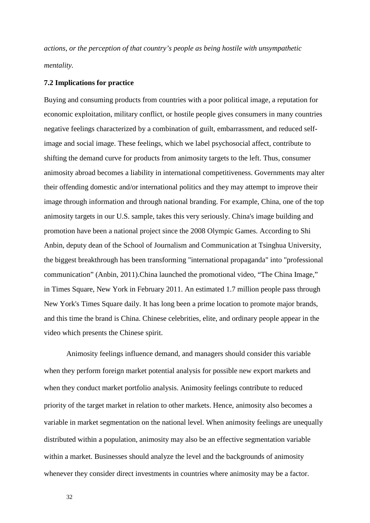*actions, or the perception of that country's people as being hostile with unsympathetic mentality.*

#### **7.2 Implications for practice**

Buying and consuming products from countries with a poor political image, a reputation for economic exploitation, military conflict, or hostile people gives consumers in many countries negative feelings characterized by a combination of guilt, embarrassment, and reduced selfimage and social image. These feelings, which we label psychosocial affect, contribute to shifting the demand curve for products from animosity targets to the left. Thus, consumer animosity abroad becomes a liability in international competitiveness. Governments may alter their offending domestic and/or international politics and they may attempt to improve their image through information and through national branding. For example, China, one of the top animosity targets in our U.S. sample, takes this very seriously. China's image building and promotion have been a national project since the 2008 Olympic Games. According to Shi Anbin, deputy dean of the School of Journalism and Communication at Tsinghua University, the biggest breakthrough has been transforming "international propaganda" into "professional communication" (Anbin, 2011).China launched the promotional video, "The China Image," in Times Square, New York in February 2011. An estimated 1.7 million people pass through New York's Times Square daily. It has long been a prime location to promote major brands, and this time the brand is China. Chinese celebrities, elite, and ordinary people appear in the video which presents the Chinese spirit.

Animosity feelings influence demand, and managers should consider this variable when they perform foreign market potential analysis for possible new export markets and when they conduct market portfolio analysis. Animosity feelings contribute to reduced priority of the target market in relation to other markets. Hence, animosity also becomes a variable in market segmentation on the national level. When animosity feelings are unequally distributed within a population, animosity may also be an effective segmentation variable within a market. Businesses should analyze the level and the backgrounds of animosity whenever they consider direct investments in countries where animosity may be a factor.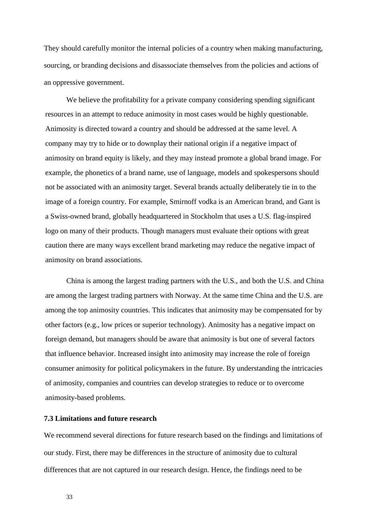They should carefully monitor the internal policies of a country when making manufacturing, sourcing, or branding decisions and disassociate themselves from the policies and actions of an oppressive government.

We believe the profitability for a private company considering spending significant resources in an attempt to reduce animosity in most cases would be highly questionable. Animosity is directed toward a country and should be addressed at the same level. A company may try to hide or to downplay their national origin if a negative impact of animosity on brand equity is likely, and they may instead promote a global brand image. For example, the phonetics of a brand name, use of language, models and spokespersons should not be associated with an animosity target. Several brands actually deliberately tie in to the image of a foreign country. For example, Smirnoff vodka is an American brand, and Gant is a Swiss-owned brand, globally headquartered in Stockholm that uses a U.S. flag-inspired logo on many of their products. Though managers must evaluate their options with great caution there are many ways excellent brand marketing may reduce the negative impact of animosity on brand associations.

China is among the largest trading partners with the U.S., and both the U.S. and China are among the largest trading partners with Norway. At the same time China and the U.S. are among the top animosity countries. This indicates that animosity may be compensated for by other factors (e.g., low prices or superior technology). Animosity has a negative impact on foreign demand, but managers should be aware that animosity is but one of several factors that influence behavior. Increased insight into animosity may increase the role of foreign consumer animosity for political policymakers in the future. By understanding the intricacies of animosity, companies and countries can develop strategies to reduce or to overcome animosity-based problems.

## **7.3 Limitations and future research**

We recommend several directions for future research based on the findings and limitations of our study. First, there may be differences in the structure of animosity due to cultural differences that are not captured in our research design. Hence, the findings need to be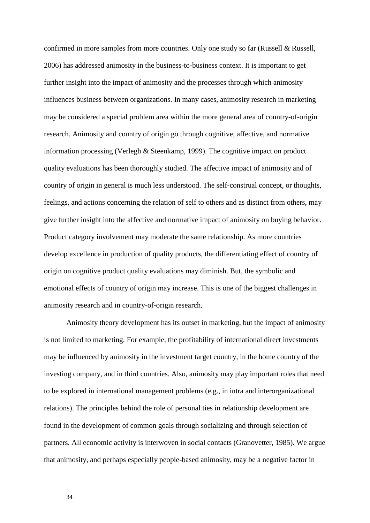confirmed in more samples from more countries. Only one study so far (Russell & Russell, 2006) has addressed animosity in the business-to-business context. It is important to get further insight into the impact of animosity and the processes through which animosity influences business between organizations. In many cases, animosity research in marketing may be considered a special problem area within the more general area of country-of-origin research. Animosity and country of origin go through cognitive, affective, and normative information processing (Verlegh & Steenkamp, 1999). The cognitive impact on product quality evaluations has been thoroughly studied. The affective impact of animosity and of country of origin in general is much less understood. The self-construal concept, or thoughts, feelings, and actions concerning the relation of self to others and as distinct from others, may give further insight into the affective and normative impact of animosity on buying behavior. Product category involvement may moderate the same relationship. As more countries develop excellence in production of quality products, the differentiating effect of country of origin on cognitive product quality evaluations may diminish. But, the symbolic and emotional effects of country of origin may increase. This is one of the biggest challenges in animosity research and in country-of-origin research.

Animosity theory development has its outset in marketing, but the impact of animosity is not limited to marketing. For example, the profitability of international direct investments may be influenced by animosity in the investment target country, in the home country of the investing company, and in third countries. Also, animosity may play important roles that need to be explored in international management problems (e.g., in intra and interorganizational relations). The principles behind the role of personal ties in relationship development are found in the development of common goals through socializing and through selection of partners. All economic activity is interwoven in social contacts (Granovetter, 1985). We argue that animosity, and perhaps especially people-based animosity, may be a negative factor in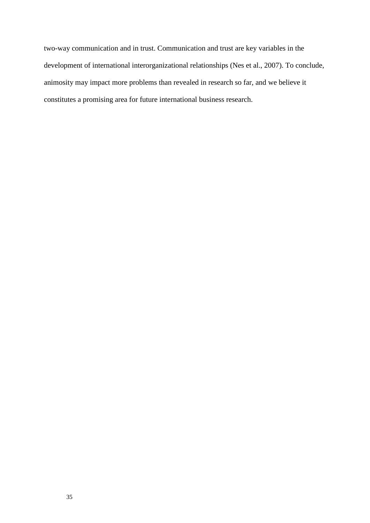two-way communication and in trust. Communication and trust are key variables in the development of international interorganizational relationships (Nes et al., 2007). To conclude, animosity may impact more problems than revealed in research so far, and we believe it constitutes a promising area for future international business research.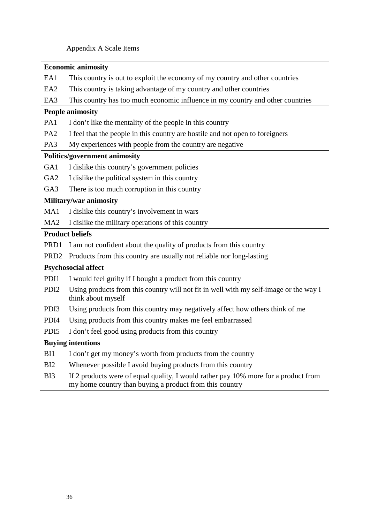Appendix A Scale Items

## **Economic animosity**

- EA1 This country is out to exploit the economy of my country and other countries
- EA2 This country is taking advantage of my country and other countries
- EA3 This country has too much economic influence in my country and other countries

## **People animosity**

- PA1 I don't like the mentality of the people in this country
- PA2 I feel that the people in this country are hostile and not open to foreigners
- PA3 My experiences with people from the country are negative

### **Politics/government animosity**

- GA1 I dislike this country's government policies
- GA2 I dislike the political system in this country
- GA3 There is too much corruption in this country

### **Military/war animosity**

MA1 I dislike this country's involvement in wars

MA2 I dislike the military operations of this country

## **Product beliefs**

- PRD1 I am not confident about the quality of products from this country
- PRD2 Products from this country are usually not reliable nor long-lasting

## **Psychosocial affect**

- PDI1 I would feel guilty if I bought a product from this country
- PDI2 Using products from this country will not fit in well with my self-image or the way I think about myself
- PDI3 Using products from this country may negatively affect how others think of me
- PDI4 Using products from this country makes me feel embarrassed
- PDI5 I don't feel good using products from this country

## **Buying intentions**

- BI1 I don't get my money's worth from products from the country
- BI2 Whenever possible I avoid buying products from this country
- BI3 If 2 products were of equal quality, I would rather pay 10% more for a product from my home country than buying a product from this country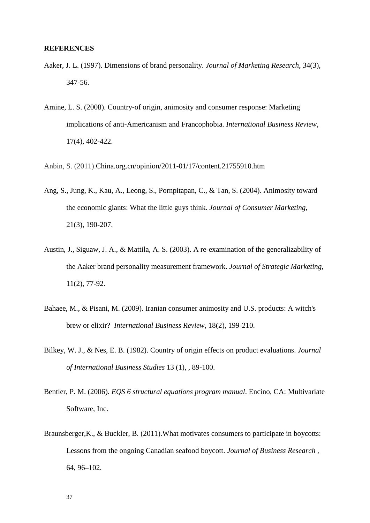#### **REFERENCES**

- Aaker, J. L. (1997). Dimensions of brand personality. *Journal of Marketing Research*, 34(3), 347-56.
- Amine, L. S. (2008). Country-of origin, animosity and consumer response: Marketing implications of anti-Americanism and Francophobia. *International Business Review*, 17(4), 402-422.
- Anbin, S. (2011).China.org.cn/opinion/2011-01/17/content.21755910.htm
- Ang, S., Jung, K., Kau, A., Leong, S., Pornpitapan, C., & Tan, S. (2004). Animosity toward the economic giants: What the little guys think. *Journal of Consumer Marketing*, 21(3), 190-207.
- Austin, J., Siguaw, J. A., & Mattila, A. S. (2003). A re-examination of the generalizability of the Aaker brand personality measurement framework. *Journal of Strategic Marketing*, 11(2), 77-92.
- Bahaee, M., & Pisani, M. (2009). Iranian consumer animosity and U.S. products: A witch's brew or elixir? *International Business Review*, 18(2), 199-210.
- Bilkey, W. J., & Nes, E. B. (1982). Country of origin effects on product evaluations. *Journal of International Business Studies* 13 (1), , 89-100.
- Bentler, P. M. (2006). *EQS 6 structural equations program manual*. Encino, CA: Multivariate Software, Inc.
- Braunsberger,K., & Buckler, B. (2011).What motivates consumers to participate in boycotts: Lessons from the ongoing Canadian seafood boycott. *Journal of Business Research* , 64, 96–102.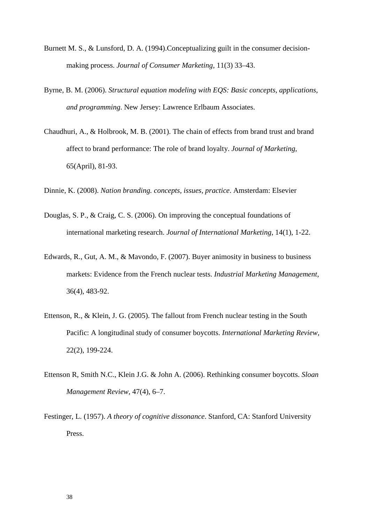- Burnett M. S., & Lunsford, D. A. (1994).Conceptualizing guilt in the consumer decisionmaking process. *Journal of Consumer Marketing,* 11(3) 33–43.
- Byrne, B. M. (2006). *Structural equation modeling with EQS: Basic concepts, applications, and programming*. New Jersey: Lawrence Erlbaum Associates.
- Chaudhuri, A., & Holbrook, M. B. (2001). The chain of effects from brand trust and brand affect to brand performance: The role of brand loyalty. *Journal of Marketing,* 65(April), 81-93.

Dinnie, K. (2008). *Nation branding. concepts, issues, practice*. Amsterdam: Elsevier

- Douglas, S. P., & Craig, C. S. (2006). On improving the conceptual foundations of international marketing research. *Journal of International Marketing*, 14(1), 1-22.
- Edwards, R., Gut, A. M., & Mavondo, F. (2007). Buyer animosity in business to business markets: Evidence from the French nuclear tests. *Industrial Marketing Management*, 36(4), 483-92.
- Ettenson, R., & Klein, J. G. (2005). The fallout from French nuclear testing in the South Pacific: A longitudinal study of consumer boycotts. *International Marketing Review*, 22(2), 199-224.
- Ettenson R, Smith N.C., Klein J.G. & John A. (2006). Rethinking consumer boycotts. *Sloan Management Review,* 47(4), 6–7.
- Festinger, L. (1957). *A theory of cognitive dissonance*. Stanford, CA: Stanford University Press.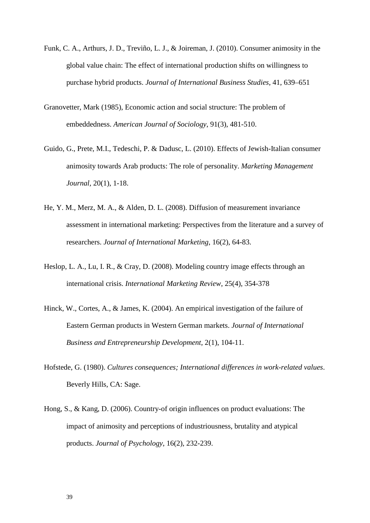- Funk, C. A., Arthurs, J. D., Treviño, L. J., & Joireman, J. (2010). Consumer animosity in the global value chain: The effect of international production shifts on willingness to purchase hybrid products. *Journal of International Business Studies*, 41, 639–651
- Granovetter, Mark (1985), Economic action and social structure: The problem of embeddedness. *American Journal of Sociology*, 91(3), 481-510.
- Guido, G., Prete, M.I., Tedeschi, P. & Dadusc, L. (2010). Effects of Jewish-Italian consumer animosity towards Arab products: The role of personality. *Marketing Management Journal,* 20(1), 1-18.
- He, Y. M., Merz, M. A., & Alden, D. L. (2008). Diffusion of measurement invariance assessment in international marketing: Perspectives from the literature and a survey of researchers. *Journal of International Marketing*, 16(2), 64-83.
- Heslop, L. A., Lu, I. R., & Cray, D. (2008). Modeling country image effects through an international crisis. *International Marketing Review*, 25(4), 354-378
- Hinck, W., Cortes, A., & James, K. (2004). An empirical investigation of the failure of Eastern German products in Western German markets. *Journal of International Business and Entrepreneurship Development*, 2(1), 104-11.
- Hofstede, G. (1980). *Cultures consequences; International differences in work-related values*. Beverly Hills, CA: Sage.
- Hong, S., & Kang, D. (2006). Country-of origin influences on product evaluations: The impact of animosity and perceptions of industriousness, brutality and atypical products. *Journal of Psychology*, 16(2), 232-239.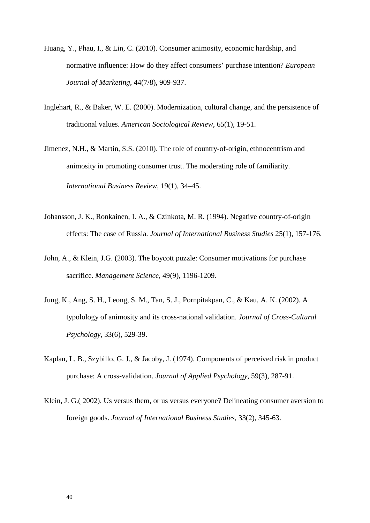- Huang, Y., Phau, I., & Lin, C. (2010). Consumer animosity, economic hardship, and normative influence: How do they affect consumers' purchase intention? *European Journal of Marketing*, 44(7/8), 909-937.
- Inglehart, R., & Baker, W. E. (2000). Modernization, cultural change, and the persistence of traditional values. *American Sociological Review*, 65(1), 19-51.
- Jimenez, N.H., & Martin, S.S. (2010). The role of country-of-origin, ethnocentrism and animosity in promoting consumer trust. The moderating role of familiarity. *International Business Review*, 19(1), 34–45.
- Johansson, J. K., Ronkainen, I. A., & Czinkota, M. R. (1994). Negative country-of-origin effects: The case of Russia. *Journal of International Business Studies* 25(1), 157-176.
- John, A., & Klein, J.G. (2003). The boycott puzzle: Consumer motivations for purchase sacrifice. *Management Science*, 49(9), 1196-1209.
- Jung, K., Ang, S. H., Leong, S. M., Tan, S. J., Pornpitakpan, C., & Kau, A. K. (2002). A typolology of animosity and its cross-national validation. *Journal of Cross-Cultural Psychology,* 33(6), 529-39.
- Kaplan, L. B., Szybillo, G. J., & Jacoby, J. (1974). Components of perceived risk in product purchase: A cross-validation. *Journal of Applied Psychology,* 59(3), 287-91.
- Klein, J. G.( 2002). Us versus them, or us versus everyone? Delineating consumer aversion to foreign goods. *Journal of International Business Studies,* 33(2), 345-63.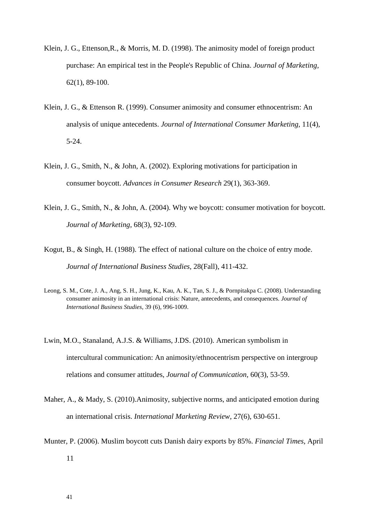- Klein, J. G., Ettenson,R., & Morris, M. D. (1998). The animosity model of foreign product purchase: An empirical test in the People's Republic of China. *Journal of Marketing,*  62(1), 89-100.
- Klein, J. G., & Ettenson R. (1999). Consumer animosity and consumer ethnocentrism: An analysis of unique antecedents. *Journal of International Consumer Marketing,* 11(4), 5-24.
- Klein, J. G., Smith, N., & John, A. (2002). Exploring motivations for participation in consumer boycott. *Advances in Consumer Research* 29(1), 363-369.
- Klein, J. G., Smith, N., & John, A. (2004). Why we boycott: consumer motivation for boycott. *Journal of Marketing,* 68(3), 92-109.
- Kogut, B., & Singh, H. (1988). The effect of national culture on the choice of entry mode. *Journal of International Business Studies,* 28(Fall), 411-432.
- Leong, S. M., Cote, J. A., Ang, S. H., Jung, K., Kau, A. K., Tan, S. J., & Pornpitakpa C. (2008). Understanding consumer animosity in an international crisis: Nature, antecedents, and consequences. *Journal of International Business Studies*, 39 (6), 996-1009.
- Lwin, M.O., Stanaland, A.J.S. & Williams, J.DS. (2010). American symbolism in intercultural communication: An animosity/ethnocentrism perspective on intergroup relations and consumer attitudes, *Journal of Communication,* 60(3), 53-59.
- Maher, A., & Mady, S. (2010).Animosity, subjective norms, and anticipated emotion during an international crisis. *International Marketing Review*, 27(6), 630-651.
- Munter, P. (2006). Muslim boycott cuts Danish dairy exports by 85%. *Financial Times*, April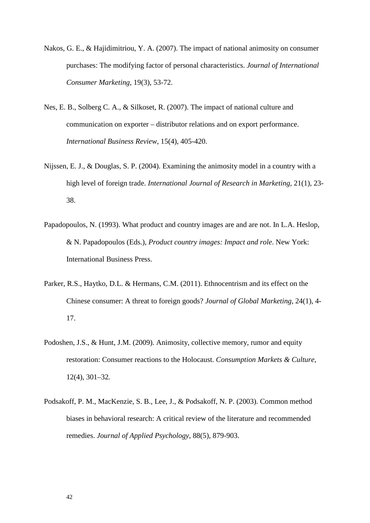- Nakos, G. E., & Hajidimitriou, Y. A. (2007). The impact of national animosity on consumer purchases: The modifying factor of personal characteristics. *Journal of International Consumer Marketing*, 19(3), 53-72.
- Nes, E. B., Solberg C. A., & Silkoset, R. (2007). The impact of national culture and communication on exporter – distributor relations and on export performance. *International Business Review*, 15(4), 405-420.
- Nijssen, E. J., & Douglas, S. P. (2004). Examining the animosity model in a country with a high level of foreign trade. *International Journal of Research in Marketing,* 21(1), 23- 38.
- Papadopoulos, N. (1993). What product and country images are and are not. In L.A. Heslop, & N. Papadopoulos (Eds.), *Product country images: Impact and role*. New York: International Business Press.
- Parker, R.S., Haytko, D.L. & Hermans, C.M. (2011). Ethnocentrism and its effect on the Chinese consumer: A threat to foreign goods? *Journal of Global Marketing,* 24(1), 4- 17.
- Podoshen, J.S., & Hunt, J.M. (2009). Animosity, collective memory, rumor and equity restoration: Consumer reactions to the Holocaust. *Consumption Markets & Culture,* 12(4), 301–32*.*
- Podsakoff, P. M., MacKenzie, S. B., Lee, J., & Podsakoff, N. P. (2003). Common method biases in behavioral research: A critical review of the literature and recommended remedies. *Journal of Applied Psychology*, 88(5), 879-903.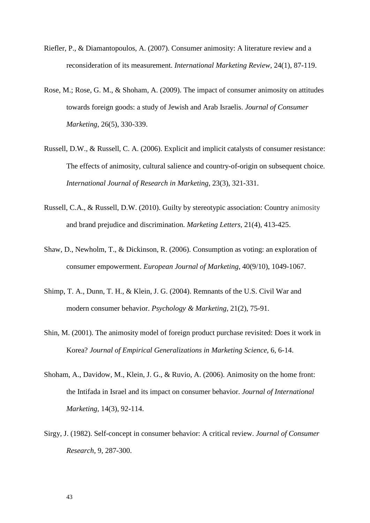- Riefler, P., & Diamantopoulos, A. (2007). Consumer animosity: A literature review and a reconsideration of its measurement. *International Marketing Review,* 24(1), 87-119.
- Rose, M.; Rose, G. M., & Shoham, A. (2009). The impact of consumer animosity on attitudes towards foreign goods: a study of Jewish and Arab Israelis. *Journal of Consumer Marketing*, 26(5), 330-339.
- Russell, D.W., & Russell, C. A. (2006). Explicit and implicit catalysts of consumer resistance: The effects of animosity, cultural salience and country-of-origin on subsequent choice. *International Journal of Research in Marketing,* 23(3), 321-331.
- Russell, C.A., & Russell, D.W. (2010). Guilty by stereotypic association: Country animosity and brand prejudice and discrimination. *Marketing Letters,* 21(4), 413-425.
- Shaw, D., Newholm, T., & Dickinson, R. (2006). Consumption as voting: an exploration of consumer empowerment. *European Journal of Marketing*, 40(9/10), 1049-1067.
- Shimp, T. A., Dunn, T. H., & Klein, J. G. (2004). Remnants of the U.S. Civil War and modern consumer behavior. *Psychology & Marketing,* 21(2), 75-91.
- Shin, M. (2001). The animosity model of foreign product purchase revisited: Does it work in Korea? *Journal of Empirical Generalizations in Marketing Science,* 6, 6-14.
- Shoham, A., Davidow, M., Klein, J. G., & Ruvio, A. (2006). Animosity on the home front: the Intifada in Israel and its impact on consumer behavior. *Journal of International Marketing,* 14(3), 92-114.
- Sirgy, J. (1982). Self-concept in consumer behavior: A critical review. *Journal of Consumer Research,* 9, 287-300.